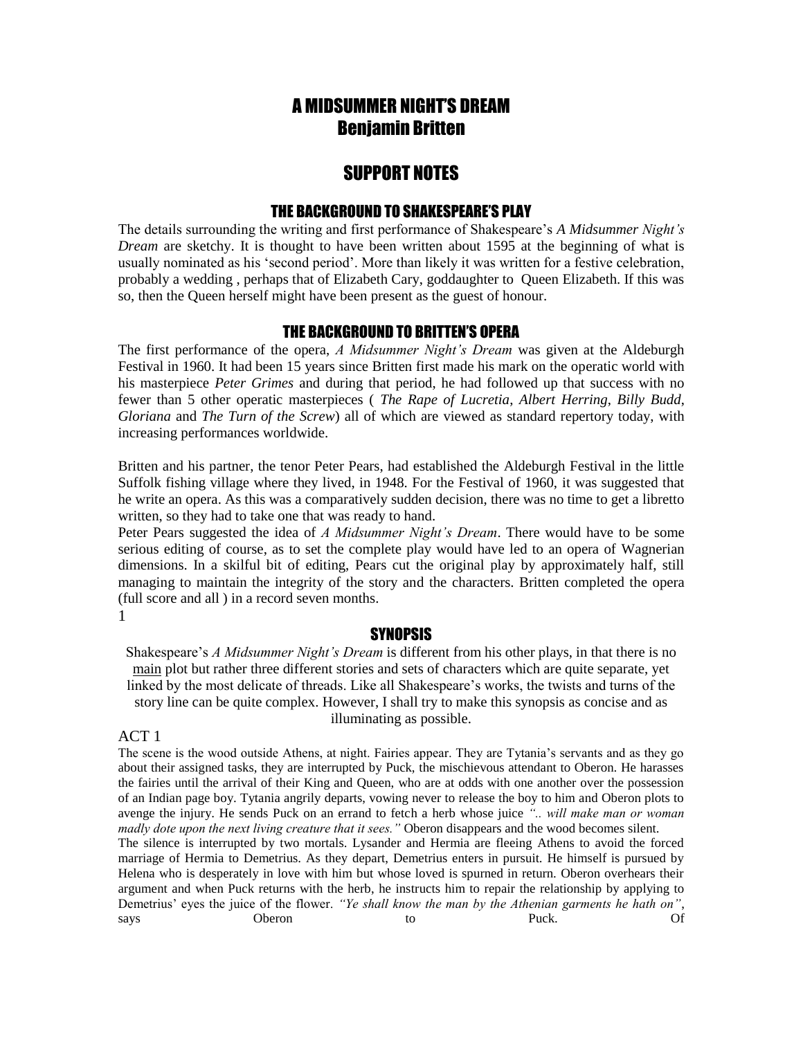# A MIDSUMMER NIGHT'S DREAM Benjamin Britten

# SUPPORT NOTES

# THE BACKGROUND TO SHAKESPEARE'S PLAY

The details surrounding the writing and first performance of Shakespeare's *A Midsummer Night's Dream* are sketchy. It is thought to have been written about 1595 at the beginning of what is usually nominated as his 'second period'. More than likely it was written for a festive celebration, probably a wedding , perhaps that of Elizabeth Cary, goddaughter to Queen Elizabeth. If this was so, then the Queen herself might have been present as the guest of honour.

### THE BACKGROUND TO BRITTEN'S OPERA

The first performance of the opera, *A Midsummer Night's Dream* was given at the Aldeburgh Festival in 1960. It had been 15 years since Britten first made his mark on the operatic world with his masterpiece *Peter Grimes* and during that period, he had followed up that success with no fewer than 5 other operatic masterpieces ( *The Rape of Lucretia*, *Albert Herring*, *Billy Budd*, *Gloriana* and *The Turn of the Screw*) all of which are viewed as standard repertory today, with increasing performances worldwide.

Britten and his partner, the tenor Peter Pears, had established the Aldeburgh Festival in the little Suffolk fishing village where they lived, in 1948. For the Festival of 1960, it was suggested that he write an opera. As this was a comparatively sudden decision, there was no time to get a libretto written, so they had to take one that was ready to hand.

Peter Pears suggested the idea of *A Midsummer Night's Dream*. There would have to be some serious editing of course, as to set the complete play would have led to an opera of Wagnerian dimensions. In a skilful bit of editing, Pears cut the original play by approximately half, still managing to maintain the integrity of the story and the characters. Britten completed the opera (full score and all ) in a record seven months.

#### 1

#### **SYNOPSIS**

Shakespeare's *A Midsummer Night's Dream* is different from his other plays, in that there is no main plot but rather three different stories and sets of characters which are quite separate, yet linked by the most delicate of threads. Like all Shakespeare's works, the twists and turns of the story line can be quite complex. However, I shall try to make this synopsis as concise and as illuminating as possible.

# ACT 1

The scene is the wood outside Athens, at night. Fairies appear. They are Tytania's servants and as they go about their assigned tasks, they are interrupted by Puck, the mischievous attendant to Oberon. He harasses the fairies until the arrival of their King and Queen, who are at odds with one another over the possession of an Indian page boy. Tytania angrily departs, vowing never to release the boy to him and Oberon plots to avenge the injury. He sends Puck on an errand to fetch a herb whose juice *".. will make man or woman madly dote upon the next living creature that it sees."* Oberon disappears and the wood becomes silent. The silence is interrupted by two mortals. Lysander and Hermia are fleeing Athens to avoid the forced marriage of Hermia to Demetrius. As they depart, Demetrius enters in pursuit. He himself is pursued by Helena who is desperately in love with him but whose loved is spurned in return. Oberon overhears their argument and when Puck returns with the herb, he instructs him to repair the relationship by applying to Demetrius' eyes the juice of the flower. *"Ye shall know the man by the Athenian garments he hath on"*, says **Oberon** to Puck. Of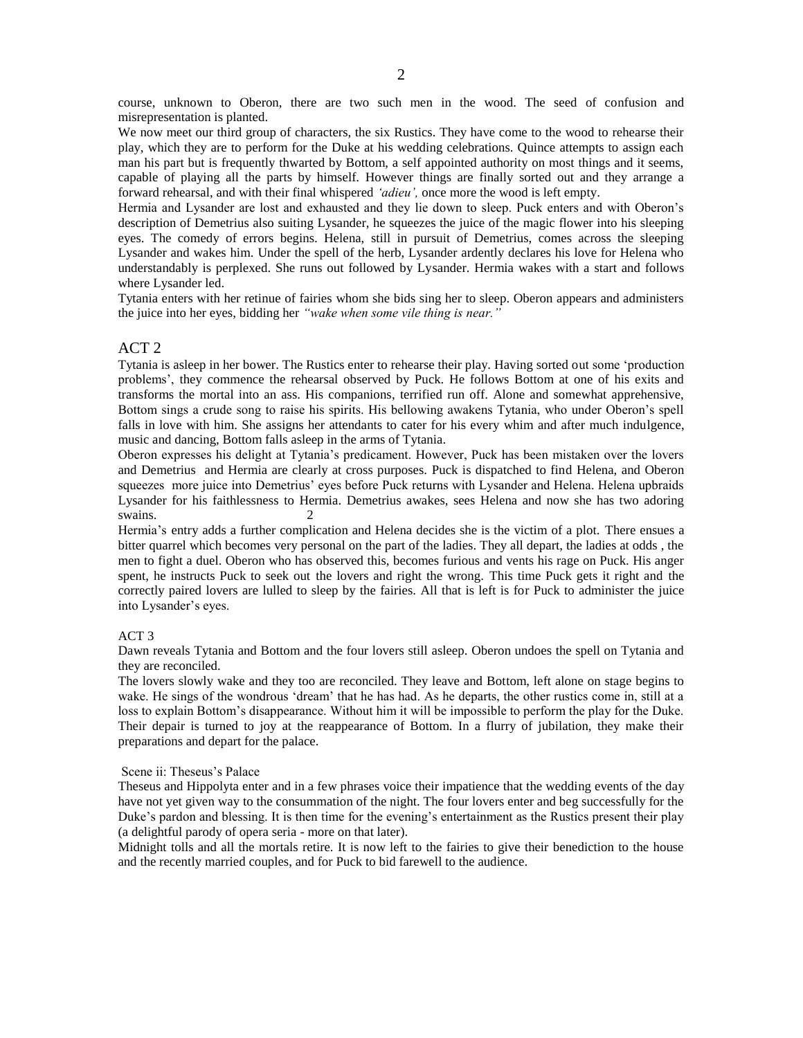course, unknown to Oberon, there are two such men in the wood. The seed of confusion and misrepresentation is planted.

We now meet our third group of characters, the six Rustics. They have come to the wood to rehearse their play, which they are to perform for the Duke at his wedding celebrations. Quince attempts to assign each man his part but is frequently thwarted by Bottom, a self appointed authority on most things and it seems, capable of playing all the parts by himself. However things are finally sorted out and they arrange a forward rehearsal, and with their final whispered *'adieu',* once more the wood is left empty.

Hermia and Lysander are lost and exhausted and they lie down to sleep. Puck enters and with Oberon's description of Demetrius also suiting Lysander, he squeezes the juice of the magic flower into his sleeping eyes. The comedy of errors begins. Helena, still in pursuit of Demetrius, comes across the sleeping Lysander and wakes him. Under the spell of the herb, Lysander ardently declares his love for Helena who understandably is perplexed. She runs out followed by Lysander. Hermia wakes with a start and follows where Lysander led.

Tytania enters with her retinue of fairies whom she bids sing her to sleep. Oberon appears and administers the juice into her eyes, bidding her *"wake when some vile thing is near."*

#### ACT 2

Tytania is asleep in her bower. The Rustics enter to rehearse their play. Having sorted out some 'production problems', they commence the rehearsal observed by Puck. He follows Bottom at one of his exits and transforms the mortal into an ass. His companions, terrified run off. Alone and somewhat apprehensive, Bottom sings a crude song to raise his spirits. His bellowing awakens Tytania, who under Oberon's spell falls in love with him. She assigns her attendants to cater for his every whim and after much indulgence, music and dancing, Bottom falls asleep in the arms of Tytania.

Oberon expresses his delight at Tytania's predicament. However, Puck has been mistaken over the lovers and Demetrius and Hermia are clearly at cross purposes. Puck is dispatched to find Helena, and Oberon squeezes more juice into Demetrius' eyes before Puck returns with Lysander and Helena. Helena upbraids Lysander for his faithlessness to Hermia. Demetrius awakes, sees Helena and now she has two adoring swains. 2

Hermia's entry adds a further complication and Helena decides she is the victim of a plot. There ensues a bitter quarrel which becomes very personal on the part of the ladies. They all depart, the ladies at odds , the men to fight a duel. Oberon who has observed this, becomes furious and vents his rage on Puck. His anger spent, he instructs Puck to seek out the lovers and right the wrong. This time Puck gets it right and the correctly paired lovers are lulled to sleep by the fairies. All that is left is for Puck to administer the juice into Lysander's eyes.

#### ACT 3

Dawn reveals Tytania and Bottom and the four lovers still asleep. Oberon undoes the spell on Tytania and they are reconciled.

The lovers slowly wake and they too are reconciled. They leave and Bottom, left alone on stage begins to wake. He sings of the wondrous 'dream' that he has had. As he departs, the other rustics come in, still at a loss to explain Bottom's disappearance. Without him it will be impossible to perform the play for the Duke. Their depair is turned to joy at the reappearance of Bottom. In a flurry of jubilation, they make their preparations and depart for the palace.

#### Scene ii: Theseus's Palace

Theseus and Hippolyta enter and in a few phrases voice their impatience that the wedding events of the day have not yet given way to the consummation of the night. The four lovers enter and beg successfully for the Duke's pardon and blessing. It is then time for the evening's entertainment as the Rustics present their play (a delightful parody of opera seria - more on that later).

Midnight tolls and all the mortals retire. It is now left to the fairies to give their benediction to the house and the recently married couples, and for Puck to bid farewell to the audience.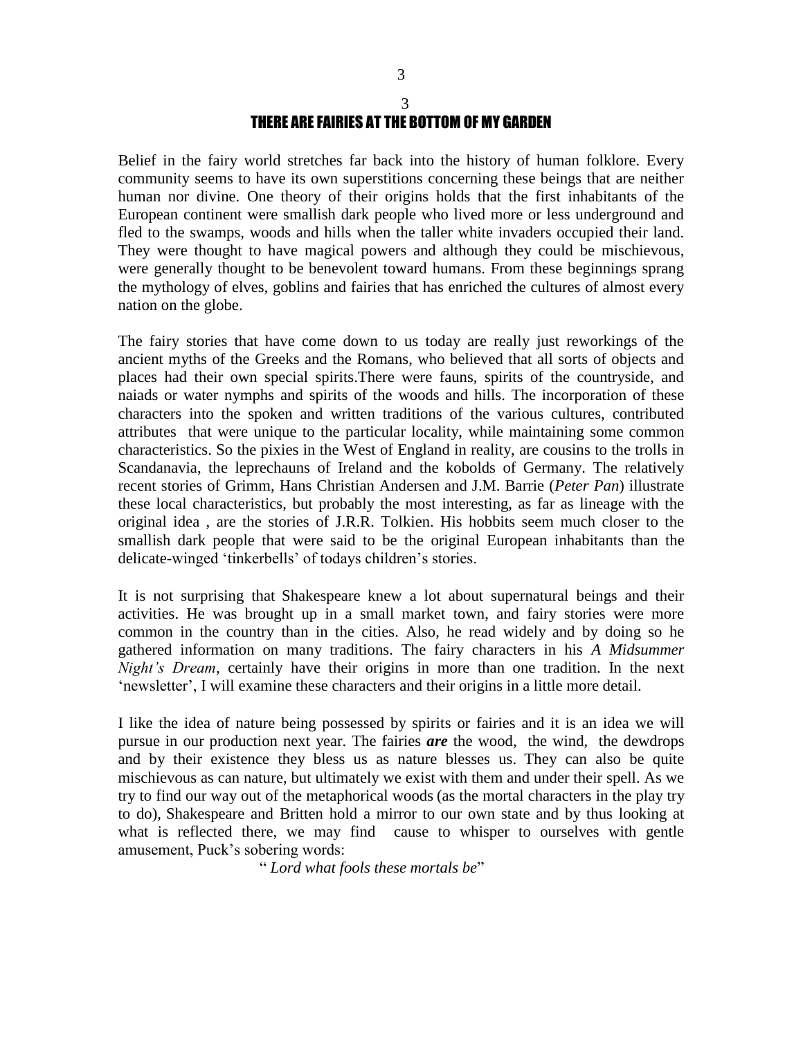# 3 THERE ARE FAIRIES AT THE BOTTOM OF MY GARDEN

Belief in the fairy world stretches far back into the history of human folklore. Every community seems to have its own superstitions concerning these beings that are neither human nor divine. One theory of their origins holds that the first inhabitants of the European continent were smallish dark people who lived more or less underground and fled to the swamps, woods and hills when the taller white invaders occupied their land. They were thought to have magical powers and although they could be mischievous, were generally thought to be benevolent toward humans. From these beginnings sprang the mythology of elves, goblins and fairies that has enriched the cultures of almost every nation on the globe.

The fairy stories that have come down to us today are really just reworkings of the ancient myths of the Greeks and the Romans, who believed that all sorts of objects and places had their own special spirits.There were fauns, spirits of the countryside, and naiads or water nymphs and spirits of the woods and hills. The incorporation of these characters into the spoken and written traditions of the various cultures, contributed attributes that were unique to the particular locality, while maintaining some common characteristics. So the pixies in the West of England in reality, are cousins to the trolls in Scandanavia, the leprechauns of Ireland and the kobolds of Germany. The relatively recent stories of Grimm, Hans Christian Andersen and J.M. Barrie (*Peter Pan*) illustrate these local characteristics, but probably the most interesting, as far as lineage with the original idea , are the stories of J.R.R. Tolkien. His hobbits seem much closer to the smallish dark people that were said to be the original European inhabitants than the delicate-winged 'tinkerbells' of todays children's stories.

It is not surprising that Shakespeare knew a lot about supernatural beings and their activities. He was brought up in a small market town, and fairy stories were more common in the country than in the cities. Also, he read widely and by doing so he gathered information on many traditions. The fairy characters in his *A Midsummer Night's Dream*, certainly have their origins in more than one tradition. In the next 'newsletter', I will examine these characters and their origins in a little more detail.

I like the idea of nature being possessed by spirits or fairies and it is an idea we will pursue in our production next year. The fairies *are* the wood, the wind, the dewdrops and by their existence they bless us as nature blesses us. They can also be quite mischievous as can nature, but ultimately we exist with them and under their spell. As we try to find our way out of the metaphorical woods (as the mortal characters in the play try to do), Shakespeare and Britten hold a mirror to our own state and by thus looking at what is reflected there, we may find cause to whisper to ourselves with gentle amusement, Puck's sobering words:

" *Lord what fools these mortals be*"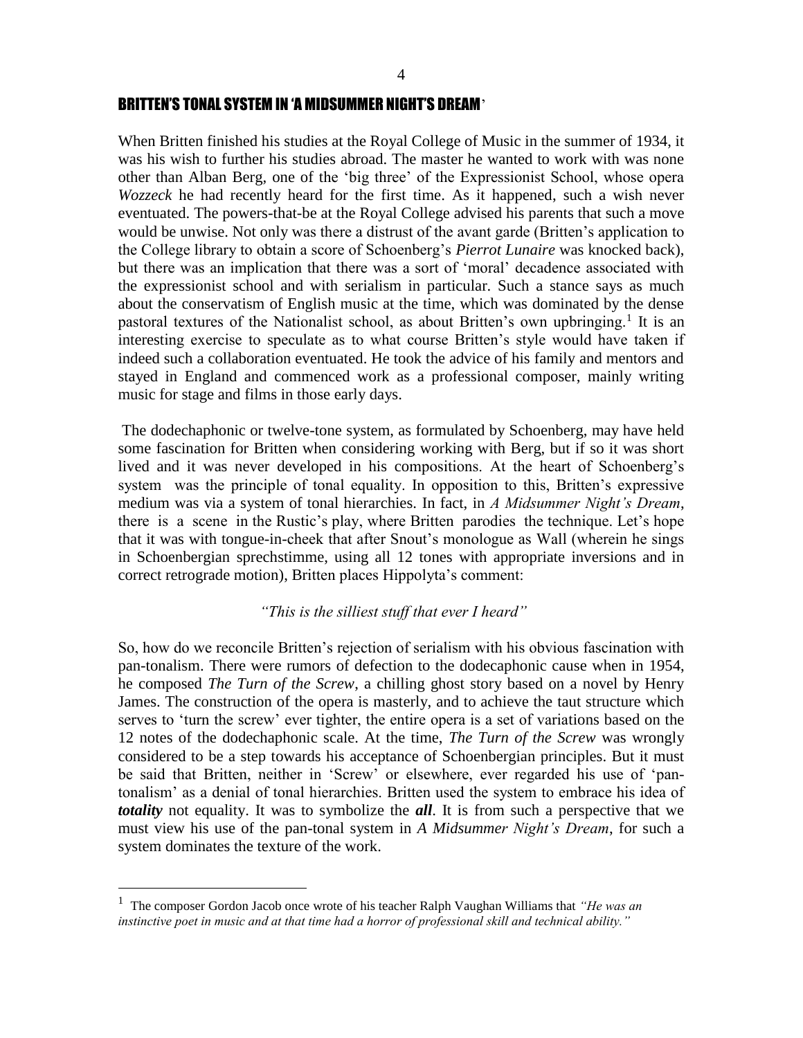### BRITTEN'S TONAL SYSTEM IN 'A MIDSUMMER NIGHT'S DREAM'

When Britten finished his studies at the Royal College of Music in the summer of 1934, it was his wish to further his studies abroad. The master he wanted to work with was none other than Alban Berg, one of the 'big three' of the Expressionist School, whose opera *Wozzeck* he had recently heard for the first time. As it happened, such a wish never eventuated. The powers-that-be at the Royal College advised his parents that such a move would be unwise. Not only was there a distrust of the avant garde (Britten's application to the College library to obtain a score of Schoenberg's *Pierrot Lunaire* was knocked back), but there was an implication that there was a sort of 'moral' decadence associated with the expressionist school and with serialism in particular. Such a stance says as much about the conservatism of English music at the time, which was dominated by the dense pastoral textures of the Nationalist school, as about Britten's own upbringing.<sup>1</sup> It is an interesting exercise to speculate as to what course Britten's style would have taken if indeed such a collaboration eventuated. He took the advice of his family and mentors and stayed in England and commenced work as a professional composer, mainly writing music for stage and films in those early days.

The dodechaphonic or twelve-tone system, as formulated by Schoenberg, may have held some fascination for Britten when considering working with Berg, but if so it was short lived and it was never developed in his compositions. At the heart of Schoenberg's system was the principle of tonal equality. In opposition to this, Britten's expressive medium was via a system of tonal hierarchies. In fact, in *A Midsummer Night's Dream*, there is a scene in the Rustic's play, where Britten parodies the technique. Let's hope that it was with tongue-in-cheek that after Snout's monologue as Wall (wherein he sings in Schoenbergian sprechstimme, using all 12 tones with appropriate inversions and in correct retrograde motion), Britten places Hippolyta's comment:

### *"This is the silliest stuff that ever I heard"*

So, how do we reconcile Britten's rejection of serialism with his obvious fascination with pan-tonalism. There were rumors of defection to the dodecaphonic cause when in 1954, he composed *The Turn of the Screw*, a chilling ghost story based on a novel by Henry James. The construction of the opera is masterly, and to achieve the taut structure which serves to 'turn the screw' ever tighter, the entire opera is a set of variations based on the 12 notes of the dodechaphonic scale. At the time, *The Turn of the Screw* was wrongly considered to be a step towards his acceptance of Schoenbergian principles. But it must be said that Britten, neither in 'Screw' or elsewhere, ever regarded his use of 'pantonalism' as a denial of tonal hierarchies. Britten used the system to embrace his idea of *totality* not equality. It was to symbolize the *all*. It is from such a perspective that we must view his use of the pan-tonal system in *A Midsummer Night's Dream*, for such a system dominates the texture of the work.

 $\overline{a}$ 

<sup>1</sup> The composer Gordon Jacob once wrote of his teacher Ralph Vaughan Williams that *"He was an instinctive poet in music and at that time had a horror of professional skill and technical ability."*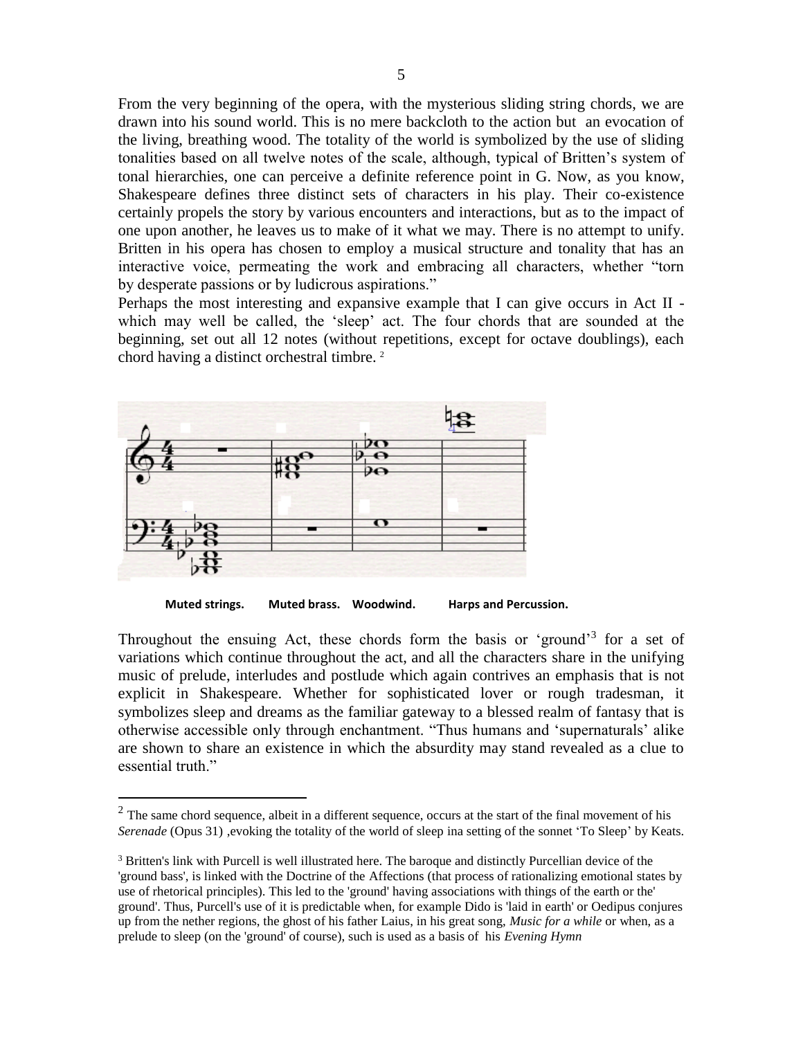From the very beginning of the opera, with the mysterious sliding string chords, we are drawn into his sound world. This is no mere backcloth to the action but an evocation of the living, breathing wood. The totality of the world is symbolized by the use of sliding tonalities based on all twelve notes of the scale, although, typical of Britten's system of tonal hierarchies, one can perceive a definite reference point in G. Now, as you know, Shakespeare defines three distinct sets of characters in his play. Their co-existence certainly propels the story by various encounters and interactions, but as to the impact of one upon another, he leaves us to make of it what we may. There is no attempt to unify. Britten in his opera has chosen to employ a musical structure and tonality that has an interactive voice, permeating the work and embracing all characters, whether "torn by desperate passions or by ludicrous aspirations."

Perhaps the most interesting and expansive example that I can give occurs in Act II which may well be called, the 'sleep' act. The four chords that are sounded at the beginning, set out all 12 notes (without repetitions, except for octave doublings), each chord having a distinct orchestral timbre. <sup>2</sup>



 $\overline{a}$ 

**Muted strings. Muted brass. Woodwind. Harps and Percussion.**

Throughout the ensuing Act, these chords form the basis or 'ground'<sup>3</sup> for a set of variations which continue throughout the act, and all the characters share in the unifying music of prelude, interludes and postlude which again contrives an emphasis that is not explicit in Shakespeare. Whether for sophisticated lover or rough tradesman, it symbolizes sleep and dreams as the familiar gateway to a blessed realm of fantasy that is otherwise accessible only through enchantment. "Thus humans and 'supernaturals' alike are shown to share an existence in which the absurdity may stand revealed as a clue to essential truth."

 $2$  The same chord sequence, albeit in a different sequence, occurs at the start of the final movement of his *Serenade* (Opus 31) ,evoking the totality of the world of sleep ina setting of the sonnet 'To Sleep' by Keats.

<sup>&</sup>lt;sup>3</sup> Britten's link with Purcell is well illustrated here. The baroque and distinctly Purcellian device of the 'ground bass', is linked with the Doctrine of the Affections (that process of rationalizing emotional states by use of rhetorical principles). This led to the 'ground' having associations with things of the earth or the' ground'. Thus, Purcell's use of it is predictable when, for example Dido is 'laid in earth' or Oedipus conjures up from the nether regions, the ghost of his father Laius, in his great song, *Music for a while* or when, as a prelude to sleep (on the 'ground' of course), such is used as a basis of his *Evening Hymn*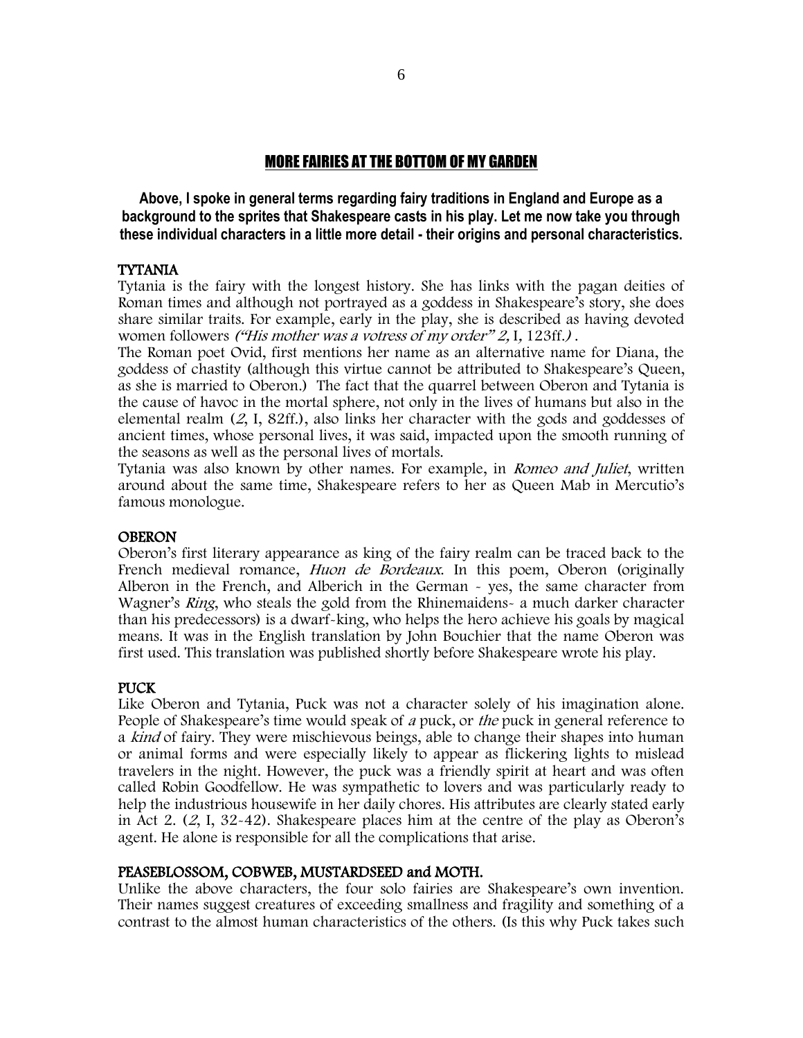# MORE FAIRIES AT THE BOTTOM OF MY GARDEN

**Above, I spoke in general terms regarding fairy traditions in England and Europe as a background to the sprites that Shakespeare casts in his play. Let me now take you through these individual characters in a little more detail - their origins and personal characteristics.**

### TYTANIA

Tytania is the fairy with the longest history. She has links with the pagan deities of Roman times and although not portrayed as a goddess in Shakespeare's story, she does share similar traits. For example, early in the play, she is described as having devoted women followers ("His mother was a votress of my order" 2, I, 123ff.).

The Roman poet Ovid, first mentions her name as an alternative name for Diana, the goddess of chastity (although this virtue cannot be attributed to Shakespeare's Queen, as she is married to Oberon.) The fact that the quarrel between Oberon and Tytania is the cause of havoc in the mortal sphere, not only in the lives of humans but also in the elemental realm (2, I, 82ff.), also links her character with the gods and goddesses of ancient times, whose personal lives, it was said, impacted upon the smooth running of the seasons as well as the personal lives of mortals.

Tytania was also known by other names. For example, in *Romeo and Juliet*, written around about the same time, Shakespeare refers to her as Queen Mab in Mercutio's famous monologue.

#### **OBERON**

Oberon's first literary appearance as king of the fairy realm can be traced back to the French medieval romance, *Huon de Bordeaux*. In this poem, Oberon (originally Alberon in the French, and Alberich in the German - yes, the same character from Wagner's Ring, who steals the gold from the Rhinemaidens- a much darker character than his predecessors) is a dwarf-king, who helps the hero achieve his goals by magical means. It was in the English translation by John Bouchier that the name Oberon was first used. This translation was published shortly before Shakespeare wrote his play.

### **PUCK**

Like Oberon and Tytania, Puck was not a character solely of his imagination alone. People of Shakespeare's time would speak of a puck, or the puck in general reference to a kind of fairy. They were mischievous beings, able to change their shapes into human or animal forms and were especially likely to appear as flickering lights to mislead travelers in the night. However, the puck was a friendly spirit at heart and was often called Robin Goodfellow. He was sympathetic to lovers and was particularly ready to help the industrious housewife in her daily chores. His attributes are clearly stated early in Act 2. (2, I, 32-42). Shakespeare places him at the centre of the play as Oberon's agent. He alone is responsible for all the complications that arise.

#### PEASEBLOSSOM, COBWEB, MUSTARDSEED and MOTH.

Unlike the above characters, the four solo fairies are Shakespeare's own invention. Their names suggest creatures of exceeding smallness and fragility and something of a contrast to the almost human characteristics of the others. (Is this why Puck takes such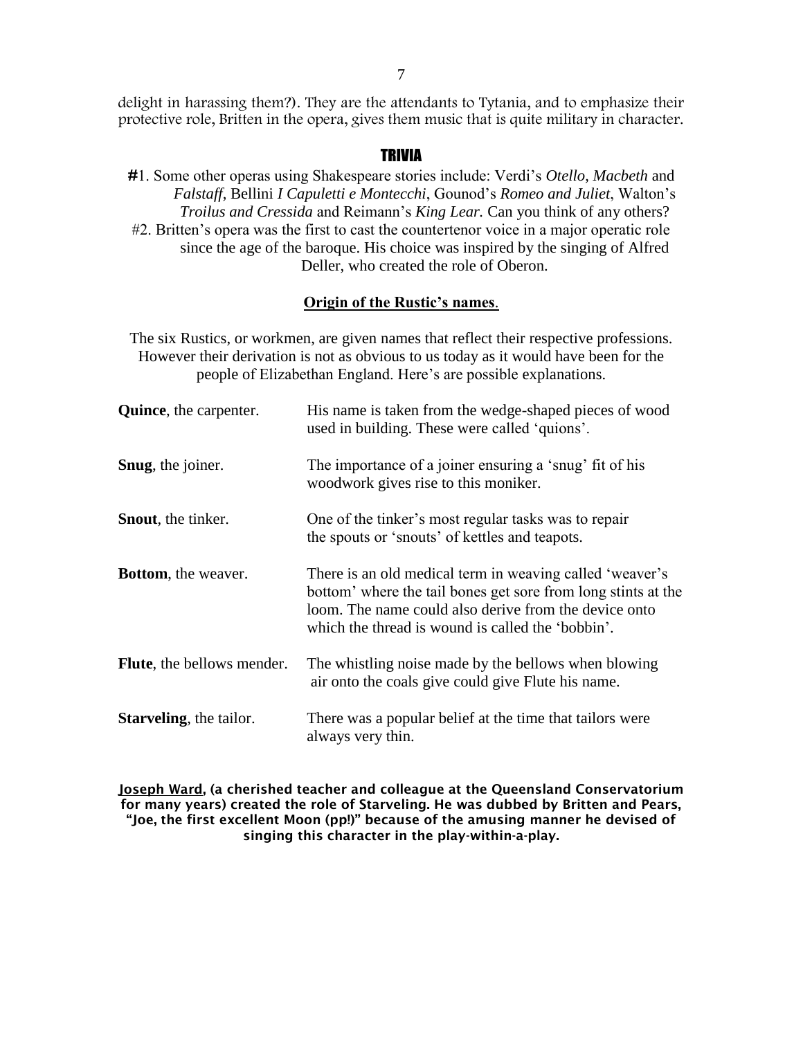delight in harassing them?). They are the attendants to Tytania, and to emphasize their protective role, Britten in the opera, gives them music that is quite military in character.

# **TRIVIA**

#1. Some other operas using Shakespeare stories include: Verdi's *Otello*, *Macbeth* and *Falstaff*, Bellini *I Capuletti e Montecchi*, Gounod's *Romeo and Juliet*, Walton's *Troilus and Cressida* and Reimann's *King Lear.* Can you think of any others? #2. Britten's opera was the first to cast the countertenor voice in a major operatic role since the age of the baroque. His choice was inspired by the singing of Alfred Deller, who created the role of Oberon.

# **Origin of the Rustic's names**.

The six Rustics, or workmen, are given names that reflect their respective professions. However their derivation is not as obvious to us today as it would have been for the people of Elizabethan England. Here's are possible explanations.

| <b>Quince</b> , the carpenter.  | His name is taken from the wedge-shaped pieces of wood<br>used in building. These were called 'quions'.                                                                                                                                 |
|---------------------------------|-----------------------------------------------------------------------------------------------------------------------------------------------------------------------------------------------------------------------------------------|
| Snug, the joiner.               | The importance of a joiner ensuring a 'snug' fit of his<br>woodwork gives rise to this moniker.                                                                                                                                         |
| <b>Snout</b> , the tinker.      | One of the tinker's most regular tasks was to repair<br>the spouts or 'snouts' of kettles and teapots.                                                                                                                                  |
| <b>Bottom</b> , the weaver.     | There is an old medical term in weaving called 'weaver's<br>bottom' where the tail bones get sore from long stints at the<br>loom. The name could also derive from the device onto<br>which the thread is wound is called the 'bobbin'. |
| Flute, the bellows mender.      | The whistling noise made by the bellows when blowing<br>air onto the coals give could give Flute his name.                                                                                                                              |
| <b>Starveling</b> , the tailor. | There was a popular belief at the time that tailors were<br>always very thin.                                                                                                                                                           |

Joseph Ward, (a cherished teacher and colleague at the Queensland Conservatorium for many years) created the role of Starveling. He was dubbed by Britten and Pears, "Joe, the first excellent Moon (pp!)" because of the amusing manner he devised of singing this character in the play-within-a-play.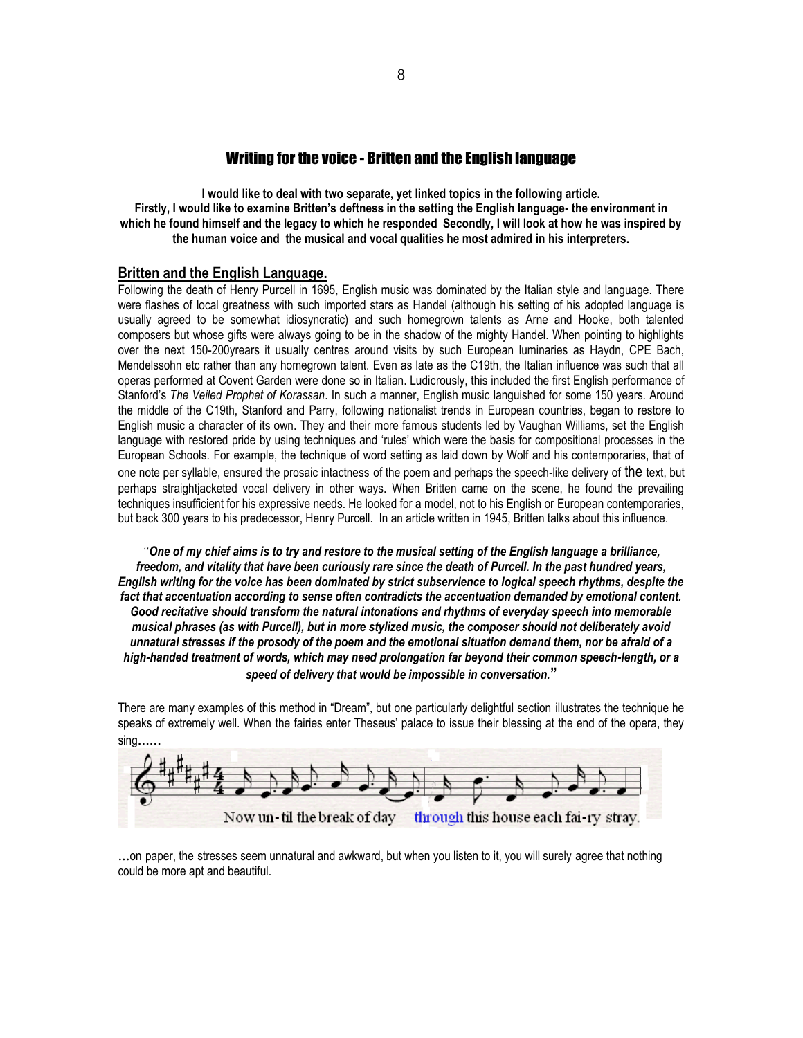### Writing for the voice - Britten and the English language

**I would like to deal with two separate, yet linked topics in the following article. Firstly, I would like to examine Britten's deftness in the setting the English language- the environment in which he found himself and the legacy to which he responded Secondly, I will look at how he was inspired by the human voice and the musical and vocal qualities he most admired in his interpreters.**

### **Britten and the English Language.**

Following the death of Henry Purcell in 1695, English music was dominated by the Italian style and language. There were flashes of local greatness with such imported stars as Handel (although his setting of his adopted language is usually agreed to be somewhat idiosyncratic) and such homegrown talents as Arne and Hooke, both talented composers but whose gifts were always going to be in the shadow of the mighty Handel. When pointing to highlights over the next 150-200yrears it usually centres around visits by such European luminaries as Haydn, CPE Bach, Mendelssohn etc rather than any homegrown talent. Even as late as the C19th, the Italian influence was such that all operas performed at Covent Garden were done so in Italian. Ludicrously, this included the first English performance of Stanford's *The Veiled Prophet of Korassan*. In such a manner, English music languished for some 150 years. Around the middle of the C19th, Stanford and Parry, following nationalist trends in European countries, began to restore to English music a character of its own. They and their more famous students led by Vaughan Williams, set the English language with restored pride by using techniques and 'rules' which were the basis for compositional processes in the European Schools. For example, the technique of word setting as laid down by Wolf and his contemporaries, that of one note per syllable, ensured the prosaic intactness of the poem and perhaps the speech-like delivery of the text, but perhaps straightjacketed vocal delivery in other ways. When Britten came on the scene, he found the prevailing techniques insufficient for his expressive needs. He looked for a model, not to his English or European contemporaries, but back 300 years to his predecessor, Henry Purcell. In an article written in 1945, Britten talks about this influence.

*"One of my chief aims is to try and restore to the musical setting of the English language a brilliance, freedom, and vitality that have been curiously rare since the death of Purcell. In the past hundred years, English writing for the voice has been dominated by strict subservience to logical speech rhythms, despite the fact that accentuation according to sense often contradicts the accentuation demanded by emotional content. Good recitative should transform the natural intonations and rhythms of everyday speech into memorable musical phrases (as with Purcell), but in more stylized music, the composer should not deliberately avoid unnatural stresses if the prosody of the poem and the emotional situation demand them, nor be afraid of a high-handed treatment of words, which may need prolongation far beyond their common speech-length, or a speed of delivery that would be impossible in conversation.***"**

There are many examples of this method in "Dream", but one particularly delightful section illustrates the technique he speaks of extremely well. When the fairies enter Theseus' palace to issue their blessing at the end of the opera, they



...on paper, the stresses seem unnatural and awkward, but when you listen to it, you will surely agree that nothing could be more apt and beautiful.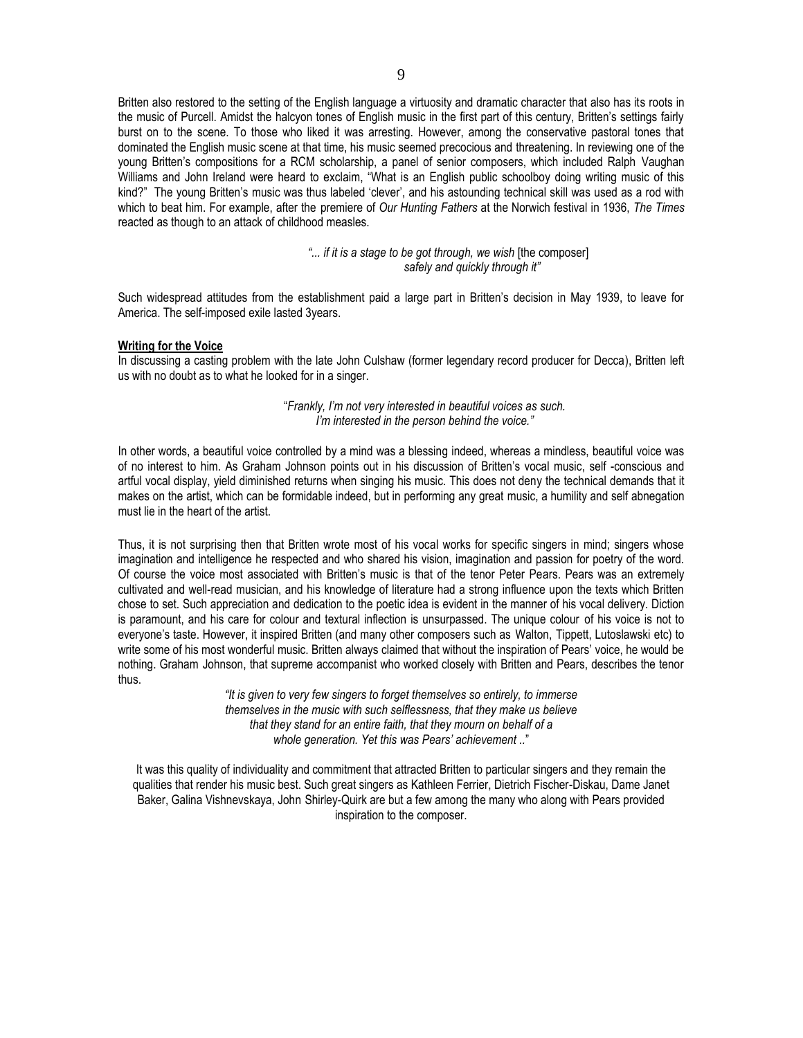Britten also restored to the setting of the English language a virtuosity and dramatic character that also has its roots in the music of Purcell. Amidst the halcyon tones of English music in the first part of this century, Britten's settings fairly burst on to the scene. To those who liked it was arresting. However, among the conservative pastoral tones that dominated the English music scene at that time, his music seemed precocious and threatening. In reviewing one of the young Britten's compositions for a RCM scholarship, a panel of senior composers, which included Ralph Vaughan Williams and John Ireland were heard to exclaim, "What is an English public schoolboy doing writing music of this kind?" The young Britten's music was thus labeled 'clever', and his astounding technical skill was used as a rod with which to beat him. For example, after the premiere of *Our Hunting Fathers* at the Norwich festival in 1936, *The Times* reacted as though to an attack of childhood measles.

> *"... if it is a stage to be got through, we wish* [the composer] *safely and quickly through it"*

Such widespread attitudes from the establishment paid a large part in Britten's decision in May 1939, to leave for America. The self-imposed exile lasted 3years.

#### **Writing for the Voice**

In discussing a casting problem with the late John Culshaw (former legendary record producer for Decca), Britten left us with no doubt as to what he looked for in a singer.

> "*Frankly, I'm not very interested in beautiful voices as such. I'm interested in the person behind the voice."*

In other words, a beautiful voice controlled by a mind was a blessing indeed, whereas a mindless, beautiful voice was of no interest to him. As Graham Johnson points out in his discussion of Britten's vocal music, self -conscious and artful vocal display, yield diminished returns when singing his music. This does not deny the technical demands that it makes on the artist, which can be formidable indeed, but in performing any great music, a humility and self abnegation must lie in the heart of the artist.

Thus, it is not surprising then that Britten wrote most of his vocal works for specific singers in mind; singers whose imagination and intelligence he respected and who shared his vision, imagination and passion for poetry of the word. Of course the voice most associated with Britten's music is that of the tenor Peter Pears. Pears was an extremely cultivated and well-read musician, and his knowledge of literature had a strong influence upon the texts which Britten chose to set. Such appreciation and dedication to the poetic idea is evident in the manner of his vocal delivery. Diction is paramount, and his care for colour and textural inflection is unsurpassed. The unique colour of his voice is not to everyone's taste. However, it inspired Britten (and many other composers such as Walton, Tippett, Lutoslawski etc) to write some of his most wonderful music. Britten always claimed that without the inspiration of Pears' voice, he would be nothing. Graham Johnson, that supreme accompanist who worked closely with Britten and Pears, describes the tenor thus.

> *"It is given to very few singers to forget themselves so entirely, to immerse themselves in the music with such selflessness, that they make us believe that they stand for an entire faith, that they mourn on behalf of a whole generation. Yet this was Pears' achievement ..*"

It was this quality of individuality and commitment that attracted Britten to particular singers and they remain the qualities that render his music best. Such great singers as Kathleen Ferrier, Dietrich Fischer-Diskau, Dame Janet Baker, Galina Vishnevskaya, John Shirley-Quirk are but a few among the many who along with Pears provided inspiration to the composer.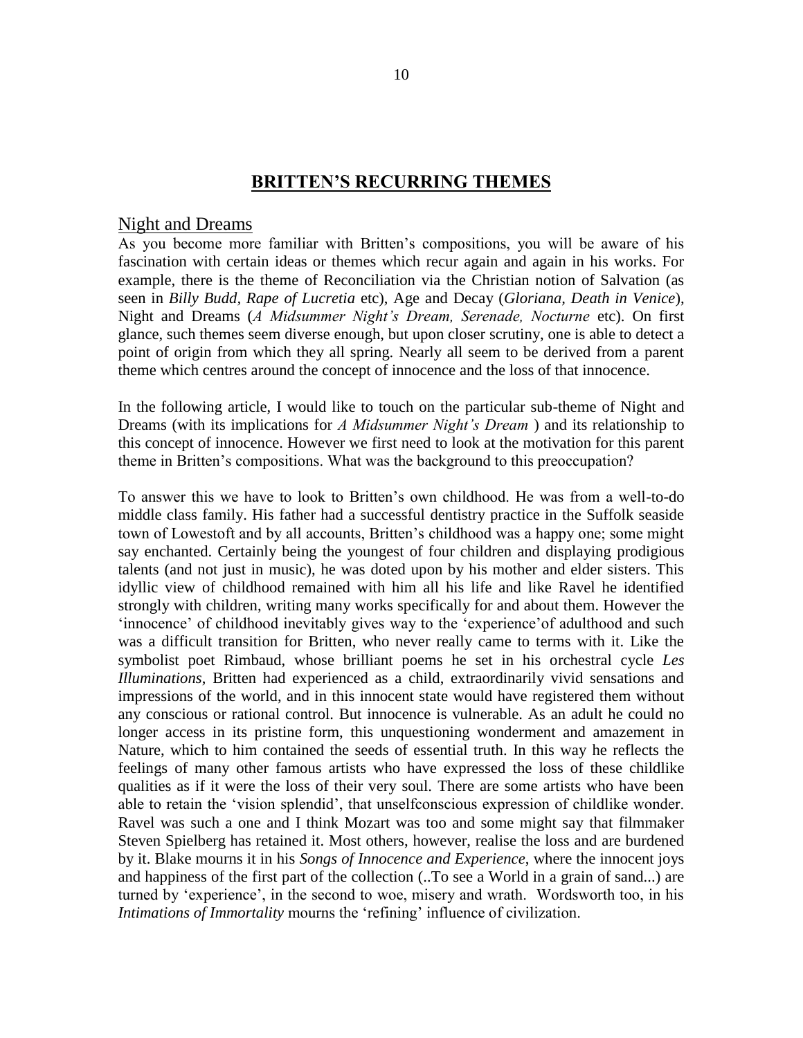# **BRITTEN'S RECURRING THEMES**

# Night and Dreams

As you become more familiar with Britten's compositions, you will be aware of his fascination with certain ideas or themes which recur again and again in his works. For example, there is the theme of Reconciliation via the Christian notion of Salvation (as seen in *Billy Budd, Rape of Lucretia* etc), Age and Decay (*Gloriana, Death in Venice*), Night and Dreams (*A Midsummer Night's Dream, Serenade, Nocturne* etc). On first glance, such themes seem diverse enough, but upon closer scrutiny, one is able to detect a point of origin from which they all spring. Nearly all seem to be derived from a parent theme which centres around the concept of innocence and the loss of that innocence.

In the following article, I would like to touch on the particular sub-theme of Night and Dreams (with its implications for *A Midsummer Night's Dream* ) and its relationship to this concept of innocence. However we first need to look at the motivation for this parent theme in Britten's compositions. What was the background to this preoccupation?

To answer this we have to look to Britten's own childhood. He was from a well-to-do middle class family. His father had a successful dentistry practice in the Suffolk seaside town of Lowestoft and by all accounts, Britten's childhood was a happy one; some might say enchanted. Certainly being the youngest of four children and displaying prodigious talents (and not just in music), he was doted upon by his mother and elder sisters. This idyllic view of childhood remained with him all his life and like Ravel he identified strongly with children, writing many works specifically for and about them. However the 'innocence' of childhood inevitably gives way to the 'experience'of adulthood and such was a difficult transition for Britten, who never really came to terms with it. Like the symbolist poet Rimbaud, whose brilliant poems he set in his orchestral cycle *Les Illuminations*, Britten had experienced as a child, extraordinarily vivid sensations and impressions of the world, and in this innocent state would have registered them without any conscious or rational control. But innocence is vulnerable. As an adult he could no longer access in its pristine form, this unquestioning wonderment and amazement in Nature, which to him contained the seeds of essential truth. In this way he reflects the feelings of many other famous artists who have expressed the loss of these childlike qualities as if it were the loss of their very soul. There are some artists who have been able to retain the 'vision splendid', that unselfconscious expression of childlike wonder. Ravel was such a one and I think Mozart was too and some might say that filmmaker Steven Spielberg has retained it. Most others, however, realise the loss and are burdened by it. Blake mourns it in his *Songs of Innocence and Experience*, where the innocent joys and happiness of the first part of the collection (..To see a World in a grain of sand...) are turned by 'experience', in the second to woe, misery and wrath. Wordsworth too, in his *Intimations of Immortality* mourns the 'refining' influence of civilization.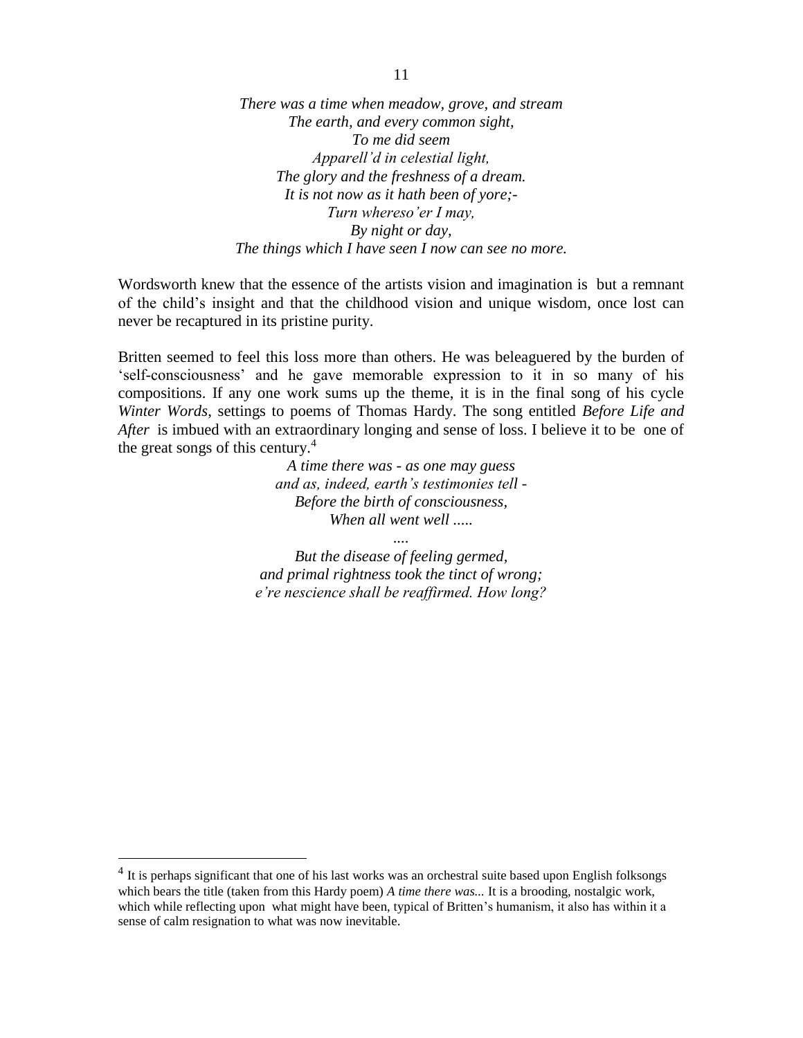*There was a time when meadow, grove, and stream The earth, and every common sight, To me did seem Apparell'd in celestial light, The glory and the freshness of a dream. It is not now as it hath been of yore;- Turn whereso'er I may, By night or day, The things which I have seen I now can see no more.*

Wordsworth knew that the essence of the artists vision and imagination is but a remnant of the child's insight and that the childhood vision and unique wisdom, once lost can never be recaptured in its pristine purity.

Britten seemed to feel this loss more than others. He was beleaguered by the burden of 'self-consciousness' and he gave memorable expression to it in so many of his compositions. If any one work sums up the theme, it is in the final song of his cycle *Winter Words*, settings to poems of Thomas Hardy. The song entitled *Before Life and After* is imbued with an extraordinary longing and sense of loss. I believe it to be one of the great songs of this century. $4$ 

> *A time there was - as one may guess and as, indeed, earth's testimonies tell - Before the birth of consciousness, When all went well .....*

*But the disease of feeling germed, and primal rightness took the tinct of wrong; e're nescience shall be reaffirmed. How long?*

*....*

 $\overline{a}$ 

<sup>&</sup>lt;sup>4</sup> It is perhaps significant that one of his last works was an orchestral suite based upon English folksongs which bears the title (taken from this Hardy poem) *A time there was...* It is a brooding, nostalgic work, which while reflecting upon what might have been, typical of Britten's humanism, it also has within it a sense of calm resignation to what was now inevitable.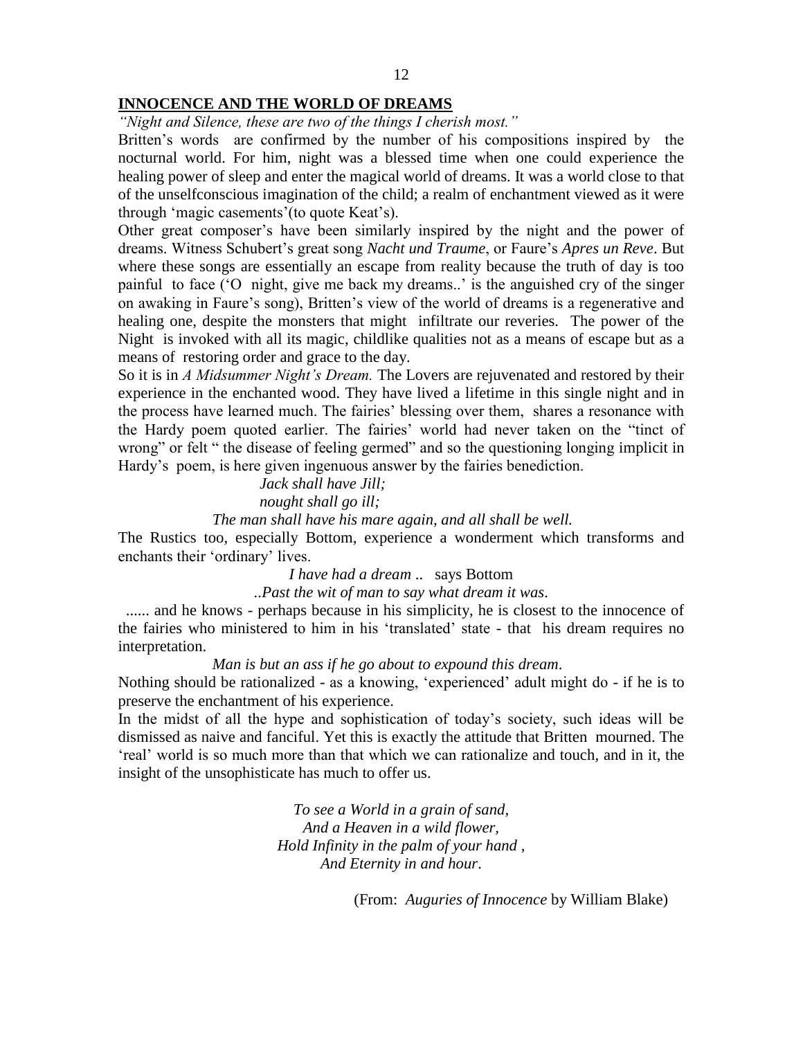### **INNOCENCE AND THE WORLD OF DREAMS**

*"Night and Silence, these are two of the things I cherish most."*

Britten's words are confirmed by the number of his compositions inspired by the nocturnal world. For him, night was a blessed time when one could experience the healing power of sleep and enter the magical world of dreams. It was a world close to that of the unselfconscious imagination of the child; a realm of enchantment viewed as it were through 'magic casements'(to quote Keat's).

Other great composer's have been similarly inspired by the night and the power of dreams. Witness Schubert's great song *Nacht und Traume*, or Faure's *Apres un Reve*. But where these songs are essentially an escape from reality because the truth of day is too painful to face ('O night, give me back my dreams..' is the anguished cry of the singer on awaking in Faure's song), Britten's view of the world of dreams is a regenerative and healing one, despite the monsters that might infiltrate our reveries. The power of the Night is invoked with all its magic, childlike qualities not as a means of escape but as a means of restoring order and grace to the day.

So it is in *A Midsummer Night's Dream.* The Lovers are rejuvenated and restored by their experience in the enchanted wood. They have lived a lifetime in this single night and in the process have learned much. The fairies' blessing over them, shares a resonance with the Hardy poem quoted earlier. The fairies' world had never taken on the "tinct of wrong" or felt " the disease of feeling germed" and so the questioning longing implicit in Hardy's poem, is here given ingenuous answer by the fairies benediction.

# *Jack shall have Jill; nought shall go ill;*

*The man shall have his mare again, and all shall be well.*

The Rustics too, especially Bottom, experience a wonderment which transforms and enchants their 'ordinary' lives.

*I have had a dream* .. says Bottom

*..Past the wit of man to say what dream it was*.

 ...... and he knows - perhaps because in his simplicity, he is closest to the innocence of the fairies who ministered to him in his 'translated' state - that his dream requires no interpretation.

### *Man is but an ass if he go about to expound this dream*.

Nothing should be rationalized - as a knowing, 'experienced' adult might do - if he is to preserve the enchantment of his experience.

In the midst of all the hype and sophistication of today's society, such ideas will be dismissed as naive and fanciful. Yet this is exactly the attitude that Britten mourned. The 'real' world is so much more than that which we can rationalize and touch, and in it, the insight of the unsophisticate has much to offer us.

> *To see a World in a grain of sand, And a Heaven in a wild flower, Hold Infinity in the palm of your hand , And Eternity in and hour*.

> > (From: *Auguries of Innocence* by William Blake)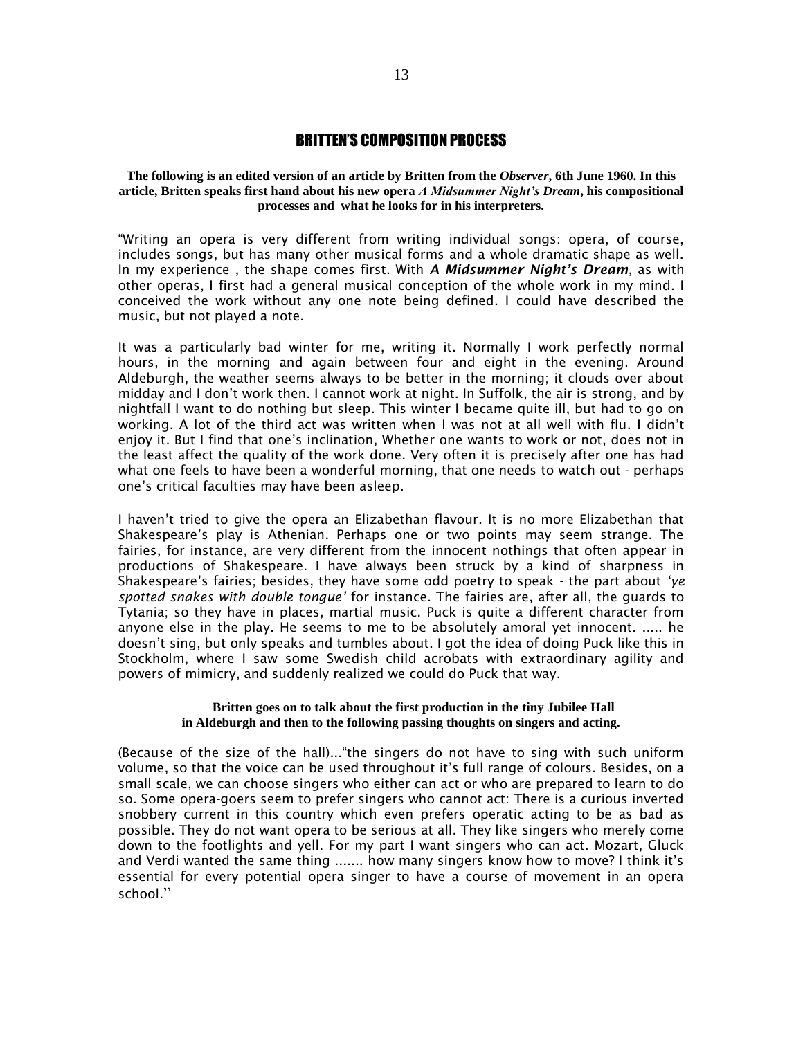### BRITTEN'S COMPOSITION PROCESS

**The following is an edited version of an article by Britten from the** *Observer***, 6th June 1960. In this article, Britten speaks first hand about his new opera** *A Midsummer Night's Dream***, his compositional processes and what he looks for in his interpreters.**

"Writing an opera is very different from writing individual songs: opera, of course, includes songs, but has many other musical forms and a whole dramatic shape as well. In my experience , the shape comes first. With *A Midsummer Night's Dream*, as with other operas, I first had a general musical conception of the whole work in my mind. I conceived the work without any one note being defined. I could have described the music, but not played a note.

It was a particularly bad winter for me, writing it. Normally I work perfectly normal hours, in the morning and again between four and eight in the evening. Around Aldeburgh, the weather seems always to be better in the morning; it clouds over about midday and I don't work then. I cannot work at night. In Suffolk, the air is strong, and by nightfall I want to do nothing but sleep. This winter I became quite ill, but had to go on working. A lot of the third act was written when I was not at all well with flu. I didn't enjoy it. But I find that one's inclination, Whether one wants to work or not, does not in the least affect the quality of the work done. Very often it is precisely after one has had what one feels to have been a wonderful morning, that one needs to watch out - perhaps one's critical faculties may have been asleep.

I haven't tried to give the opera an Elizabethan flavour. It is no more Elizabethan that Shakespeare's play is Athenian. Perhaps one or two points may seem strange. The fairies, for instance, are very different from the innocent nothings that often appear in productions of Shakespeare. I have always been struck by a kind of sharpness in Shakespeare's fairies; besides, they have some odd poetry to speak - the part about *'ye spotted snakes with double tongue'* for instance. The fairies are, after all, the guards to Tytania; so they have in places, martial music. Puck is quite a different character from anyone else in the play. He seems to me to be absolutely amoral yet innocent. ..... he doesn't sing, but only speaks and tumbles about. I got the idea of doing Puck like this in Stockholm, where I saw some Swedish child acrobats with extraordinary agility and powers of mimicry, and suddenly realized we could do Puck that way.

#### **Britten goes on to talk about the first production in the tiny Jubilee Hall in Aldeburgh and then to the following passing thoughts on singers and acting.**

(Because of the size of the hall)..."the singers do not have to sing with such uniform volume, so that the voice can be used throughout it's full range of colours. Besides, on a small scale, we can choose singers who either can act or who are prepared to learn to do so. Some opera-goers seem to prefer singers who cannot act: There is a curious inverted snobbery current in this country which even prefers operatic acting to be as bad as possible. They do not want opera to be serious at all. They like singers who merely come down to the footlights and yell. For my part I want singers who can act. Mozart, Gluck and Verdi wanted the same thing ....... how many singers know how to move? I think it's essential for every potential opera singer to have a course of movement in an opera school."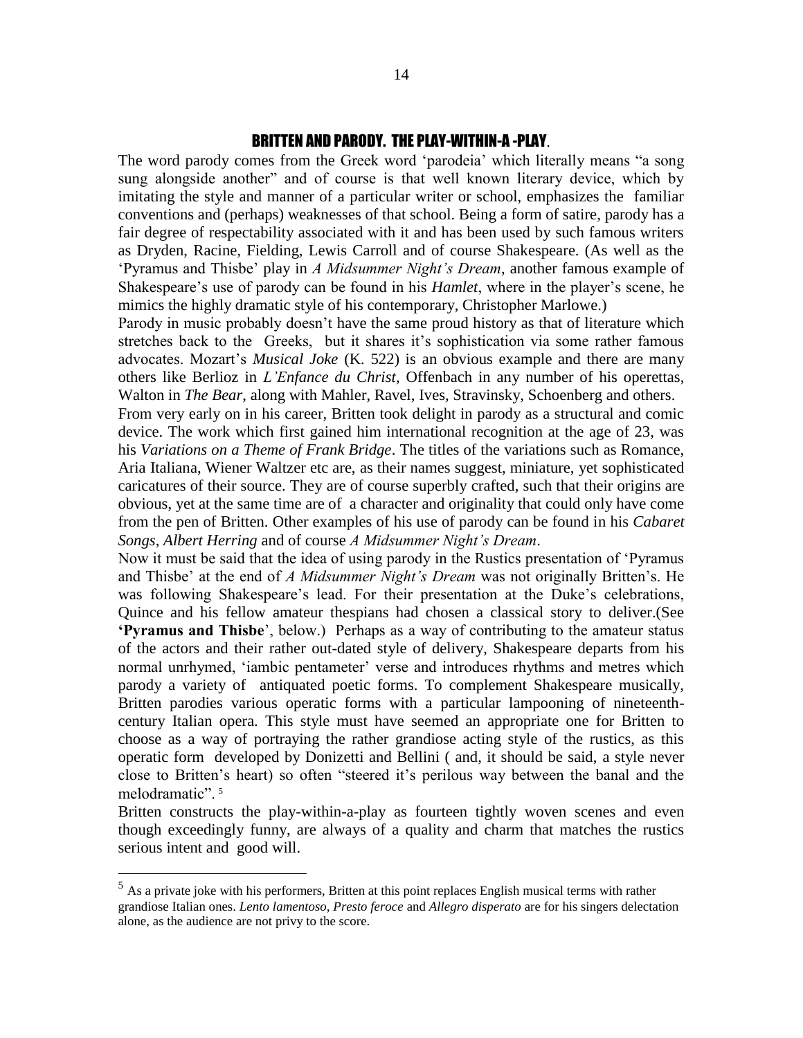# BRITTEN AND PARODY. THE PLAY-WITHIN-A -PLAY.

The word parody comes from the Greek word 'parodeia' which literally means "a song sung alongside another" and of course is that well known literary device, which by imitating the style and manner of a particular writer or school, emphasizes the familiar conventions and (perhaps) weaknesses of that school. Being a form of satire, parody has a fair degree of respectability associated with it and has been used by such famous writers as Dryden, Racine, Fielding, Lewis Carroll and of course Shakespeare. (As well as the 'Pyramus and Thisbe' play in *A Midsummer Night's Dream*, another famous example of Shakespeare's use of parody can be found in his *Hamlet*, where in the player's scene, he mimics the highly dramatic style of his contemporary, Christopher Marlowe.)

Parody in music probably doesn't have the same proud history as that of literature which stretches back to the Greeks, but it shares it's sophistication via some rather famous advocates. Mozart's *Musical Joke* (K. 522) is an obvious example and there are many others like Berlioz in *L'Enfance du Christ*, Offenbach in any number of his operettas, Walton in *The Bear*, along with Mahler, Ravel, Ives, Stravinsky, Schoenberg and others.

From very early on in his career, Britten took delight in parody as a structural and comic device. The work which first gained him international recognition at the age of 23, was his *Variations on a Theme of Frank Bridge*. The titles of the variations such as Romance, Aria Italiana, Wiener Waltzer etc are, as their names suggest, miniature, yet sophisticated caricatures of their source. They are of course superbly crafted, such that their origins are obvious, yet at the same time are of a character and originality that could only have come from the pen of Britten. Other examples of his use of parody can be found in his *Cabaret Songs*, *Albert Herring* and of course *A Midsummer Night's Dream*.

Now it must be said that the idea of using parody in the Rustics presentation of 'Pyramus and Thisbe' at the end of *A Midsummer Night's Dream* was not originally Britten's. He was following Shakespeare's lead. For their presentation at the Duke's celebrations, Quince and his fellow amateur thespians had chosen a classical story to deliver.(See **'Pyramus and Thisbe**', below.) Perhaps as a way of contributing to the amateur status of the actors and their rather out-dated style of delivery, Shakespeare departs from his normal unrhymed, 'iambic pentameter' verse and introduces rhythms and metres which parody a variety of antiquated poetic forms. To complement Shakespeare musically, Britten parodies various operatic forms with a particular lampooning of nineteenthcentury Italian opera. This style must have seemed an appropriate one for Britten to choose as a way of portraying the rather grandiose acting style of the rustics, as this operatic form developed by Donizetti and Bellini ( and, it should be said, a style never close to Britten's heart) so often "steered it's perilous way between the banal and the melodramatic".<sup>5</sup>

Britten constructs the play-within-a-play as fourteen tightly woven scenes and even though exceedingly funny, are always of a quality and charm that matches the rustics serious intent and good will.

 $\overline{a}$ 

 $<sup>5</sup>$  As a private joke with his performers, Britten at this point replaces English musical terms with rather</sup> grandiose Italian ones. *Lento lamentoso, Presto feroce* and *Allegro disperato* are for his singers delectation alone, as the audience are not privy to the score.